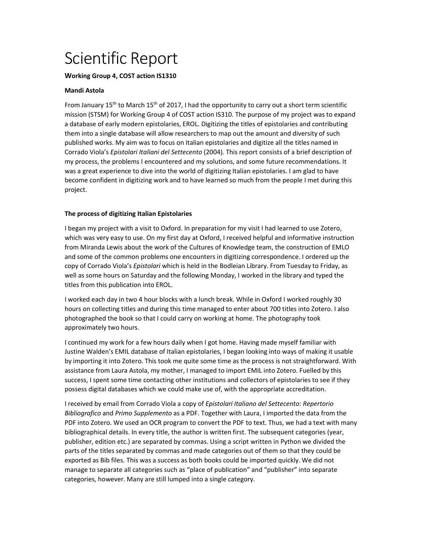# Scientific Report

## **Working Group 4, COST action IS1310**

## **Mandi Astola**

From January 15<sup>th</sup> to March 15<sup>th</sup> of 2017, I had the opportunity to carry out a short term scientific mission (STSM) for Working Group 4 of COST action IS310. The purpose of my project was to expand a database of early modern epistolaries, EROL. Digitizing the titles of epistolaries and contributing them into a single database will allow researchers to map out the amount and diversity of such published works. My aim was to focus on Italian epistolaries and digitize all the titles named in Corrado Viola's *Epistolari Italiani del Settecento* (2004). This report consists of a brief description of my process, the problems I encountered and my solutions, and some future recommendations. It was a great experience to dive into the world of digitizing Italian epistolaries. I am glad to have become confident in digitizing work and to have learned so much from the people I met during this project.

## **The process of digitizing Italian Epistolaries**

I began my project with a visit to Oxford. In preparation for my visit I had learned to use Zotero, which was very easy to use. On my first day at Oxford, I received helpful and informative instruction from Miranda Lewis about the work of the Cultures of Knowledge team, the construction of EMLO and some of the common problems one encounters in digitizing correspondence. I ordered up the copy of Corrado Viola's *Epistolari* which is held in the Bodleian Library. From Tuesday to Friday, as well as some hours on Saturday and the following Monday, I worked in the library and typed the titles from this publication into EROL.

I worked each day in two 4 hour blocks with a lunch break. While in Oxford I worked roughly 30 hours on collecting titles and during this time managed to enter about 700 titles into Zotero. I also photographed the book so that I could carry on working at home. The photography took approximately two hours.

I continued my work for a few hours daily when I got home. Having made myself familiar with Justine Walden's EMIL database of Italian epistolaries, I began looking into ways of making it usable by importing it into Zotero. This took me quite some time as the process is not straightforward. With assistance from Laura Astola, my mother, I managed to import EMIL into Zotero. Fuelled by this success, I spent some time contacting other institutions and collectors of epistolaries to see if they possess digital databases which we could make use of, with the appropriate accreditation.

I received by email from Corrado Viola a copy of *Epistolari Italiano del Settecento: Repertorio Bibliografico* and *Primo Supplemento* as a PDF. Together with Laura, I imported the data from the PDF into Zotero. We used an OCR program to convert the PDF to text. Thus, we had a text with many bibliographical details. In every title, the author is written first. The subsequent categories (year, publisher, edition etc.) are separated by commas. Using a script written in Python we divided the parts of the titles separated by commas and made categories out of them so that they could be exported as Bib files. This was a success as both books could be imported quickly. We did not manage to separate all categories such as "place of publication" and "publisher" into separate categories, however. Many are still lumped into a single category.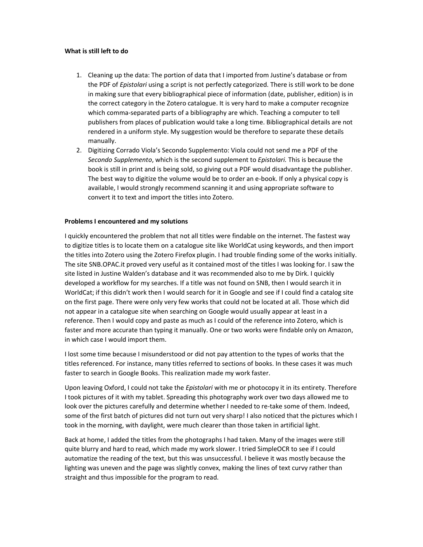### **What is still left to do**

- 1. Cleaning up the data: The portion of data that I imported from Justine's database or from the PDF of *Epistolari* using a script is not perfectly categorized. There is still work to be done in making sure that every bibliographical piece of information (date, publisher, edition) is in the correct category in the Zotero catalogue. It is very hard to make a computer recognize which comma-separated parts of a bibliography are which. Teaching a computer to tell publishers from places of publication would take a long time. Bibliographical details are not rendered in a uniform style. My suggestion would be therefore to separate these details manually.
- 2. Digitizing Corrado Viola's Secondo Supplemento: Viola could not send me a PDF of the *Secondo Supplemento*, which is the second supplement to *Epistolari.* This is because the book is still in print and is being sold, so giving out a PDF would disadvantage the publisher. The best way to digitize the volume would be to order an e-book. If only a physical copy is available, I would strongly recommend scanning it and using appropriate software to convert it to text and import the titles into Zotero.

#### **Problems I encountered and my solutions**

I quickly encountered the problem that not all titles were findable on the internet. The fastest way to digitize titles is to locate them on a catalogue site like WorldCat using keywords, and then import the titles into Zotero using the Zotero Firefox plugin. I had trouble finding some of the works initially. The site SNB.OPAC.it proved very useful as it contained most of the titles I was looking for. I saw the site listed in Justine Walden's database and it was recommended also to me by Dirk. I quickly developed a workflow for my searches. If a title was not found on SNB, then I would search it in WorldCat; if this didn't work then I would search for it in Google and see if I could find a catalog site on the first page. There were only very few works that could not be located at all. Those which did not appear in a catalogue site when searching on Google would usually appear at least in a reference. Then I would copy and paste as much as I could of the reference into Zotero, which is faster and more accurate than typing it manually. One or two works were findable only on Amazon, in which case I would import them.

I lost some time because I misunderstood or did not pay attention to the types of works that the titles referenced. For instance, many titles referred to sections of books. In these cases it was much faster to search in Google Books. This realization made my work faster.

Upon leaving Oxford, I could not take the *Epistolari* with me or photocopy it in its entirety. Therefore I took pictures of it with my tablet. Spreading this photography work over two days allowed me to look over the pictures carefully and determine whether I needed to re-take some of them. Indeed, some of the first batch of pictures did not turn out very sharp! I also noticed that the pictures which I took in the morning, with daylight, were much clearer than those taken in artificial light.

Back at home, I added the titles from the photographs I had taken. Many of the images were still quite blurry and hard to read, which made my work slower. I tried SimpleOCR to see if I could automatize the reading of the text, but this was unsuccessful. I believe it was mostly because the lighting was uneven and the page was slightly convex, making the lines of text curvy rather than straight and thus impossible for the program to read.